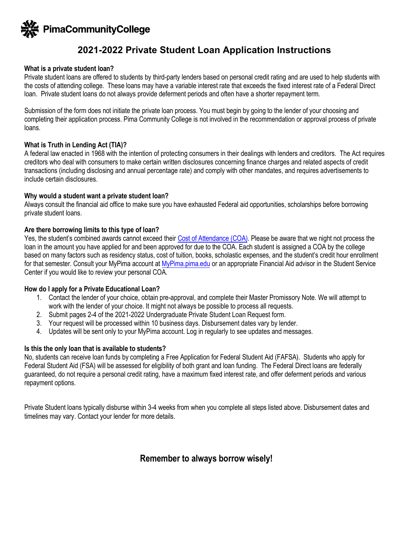

# **2021-2022 Private Student Loan Application Instructions**

### **What is a private student loan?**

Private student loans are offered to students by third-party lenders based on personal credit rating and are used to help students with the costs of attending college. These loans may have a variable interest rate that exceeds the fixed interest rate of a Federal Direct loan. Private student loans do not always provide deferment periods and often have a shorter repayment term.

Submission of the form does not initiate the private loan process. You must begin by going to the lender of your choosing and completing their application process. Pima Community College is not involved in the recommendation or approval process of private loans.

### **What is Truth in Lending Act (TIA)?**

A federal law enacted in 1968 with the intention of protecting consumers in their dealings with lenders and creditors. The Act requires creditors who deal with consumers to make certain written disclosures concerning finance charges and related aspects of credit transactions (including disclosing and annual percentage rate) and comply with other mandates, and requires advertisements to include certain disclosures.

### **Why would a student want a private student loan?**

Always consult the financial aid office to make sure you have exhausted Federal aid opportunities, scholarships before borrowing private student loans.

### **Are there borrowing limits to this type of loan?**

Yes, the student's combined awards cannot exceed thei[r Cost of Attendance \(COA\).](https://pima.edu/paying-for-school/financial-aid/cost-of-attendance.html) Please be aware that we night not process the loan in the amount you have applied for and been approved for due to the COA. Each student is assigned a COA by the college based on many factors such as residency status, cost of tuition, books, scholastic expenses, and the student's credit hour enrollment for that semester. Consult your MyPima account at [MyPima.pima.edu](https://mypima.pima.edu) or an appropriate Financial Aid advisor in the Student Service Center if you would like to review your personal COA.

### **How do I apply for a Private Educational Loan?**

- 1. Contact the lender of your choice, obtain pre-approval, and complete their Master Promissory Note. We will attempt to work with the lender of your choice. It might not always be possible to process all requests.
- 2. Submit pages 2-4 of the 2021-2022 Undergraduate Private Student Loan Request form.
- 3. Your request will be processed within 10 business days. Disbursement dates vary by lender.
- 4. Updates will be sent only to your MyPima account. Log in regularly to see updates and messages.

## **Is this the only loan that is available to students?**

No, students can receive loan funds by completing a Free Application for Federal Student Aid (FAFSA). Students who apply for Federal Student Aid (FSA) will be assessed for eligibility of both grant and loan funding. The Federal Direct loans are federally guaranteed, do not require a personal credit rating, have a maximum fixed interest rate, and offer deferment periods and various repayment options.

Private Student loans typically disburse within 3-4 weeks from when you complete all steps listed above. Disbursement dates and timelines may vary. Contact your lender for more details.

# **Remember to always borrow wisely!**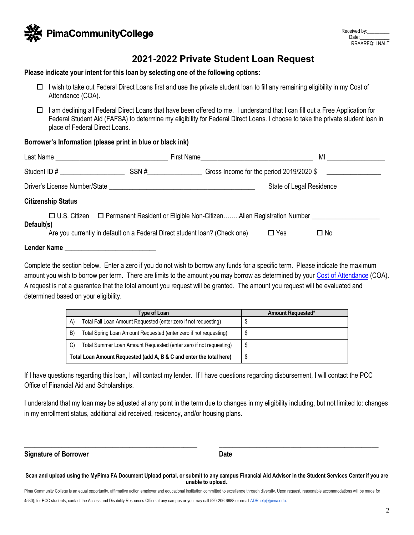

# **2021-2022 Private Student Loan Request**

#### **Please indicate your intent for this loan by selecting one of the following options:**

- $\Box$  I wish to take out Federal Direct Loans first and use the private student loan to fill any remaining eligibility in my Cost of Attendance (COA).
- □ I am declining all Federal Direct Loans that have been offered to me. I understand that I can fill out a Free Application for Federal Student Aid (FAFSA) to determine my eligibility for Federal Direct Loans. I choose to take the private student loan in place of Federal Direct Loans.

### **Borrower's Information (please print in blue or black ink)**

|                    |                           | Last Name and the contract of the contract of the contract of the contract of the contract of the contract of the contract of the contract of the contract of the contract of the contract of the contract of the contract of       |                                                                                              |            | <b>MI</b> and the set of the set of the set of the set of the set of the set of the set of the set of the set of the set of the set of the set of the set of the set of the set of the set of the set of the set of the set of the |  |
|--------------------|---------------------------|-------------------------------------------------------------------------------------------------------------------------------------------------------------------------------------------------------------------------------------|----------------------------------------------------------------------------------------------|------------|------------------------------------------------------------------------------------------------------------------------------------------------------------------------------------------------------------------------------------|--|
|                    | Student ID #              | SSN #                                                                                                                                                                                                                               | Gross Income for the period 2019/2020 \$                                                     |            |                                                                                                                                                                                                                                    |  |
|                    |                           | Driver's License Number/State <b>National State</b> and State and State and State and State and State and State and State and State and State and State and State and State and State and State and State and State and State and S | State of Legal Residence                                                                     |            |                                                                                                                                                                                                                                    |  |
|                    | <b>Citizenship Status</b> |                                                                                                                                                                                                                                     |                                                                                              |            |                                                                                                                                                                                                                                    |  |
| Default(s)         |                           | Are you currently in default on a Federal Direct student loan? (Check one)                                                                                                                                                          | □ U.S. Citizen □ Permanent Resident or Eligible Non-CitizenAlien Registration Number _______ | $\Box$ Yes | $\square$ No                                                                                                                                                                                                                       |  |
| <b>Lender Name</b> |                           | <u> 1989 - Jan Samuel Barbara, margaret e</u>                                                                                                                                                                                       |                                                                                              |            |                                                                                                                                                                                                                                    |  |

Complete the section below. Enter a zero if you do not wish to borrow any funds for a specific term. Please indicate the maximum amount you wish to borrow per term. There are limits to the amount you may borrow as determined by your [Cost of Attendance](https://pima.edu/paying-for-school/financial-aid/cost-of-attendance.html) (COA). A request is not a guarantee that the total amount you request will be granted. The amount you request will be evaluated and determined based on your eligibility.

|    | Type of Loan                                                        | <b>Amount Requested*</b> |  |
|----|---------------------------------------------------------------------|--------------------------|--|
| A) | Total Fall Loan Amount Requested (enter zero if not requesting)     |                          |  |
| B) | Total Spring Loan Amount Requested (enter zero if not requesting)   |                          |  |
| C) | Total Summer Loan Amount Requested (enter zero if not requesting)   |                          |  |
|    | Total Loan Amount Requested (add A, B & C and enter the total here) | S                        |  |

If I have questions regarding this loan, I will contact my lender. If I have questions regarding disbursement, I will contact the PCC Office of Financial Aid and Scholarships.

I understand that my loan may be adjusted at any point in the term due to changes in my eligibility including, but not limited to: changes in my enrollment status, additional aid received, residency, and/or housing plans.

**Signature of Borrower Community Community Community Community Community Community Community Community Community** 

Pima Community College is an equal opportunity, affirmative action employer and educational institution committed to excellence through diversity. Upon request, reasonable accommodations will be made for

 $\_$  , and the set of the set of the set of the set of the set of the set of the set of the set of the set of the set of the set of the set of the set of the set of the set of the set of the set of the set of the set of th

**Scan and upload using the MyPima FA Document Upload portal, or submit to any campus Financial Aid Advisor in the Student Services Center if you are unable to upload.**.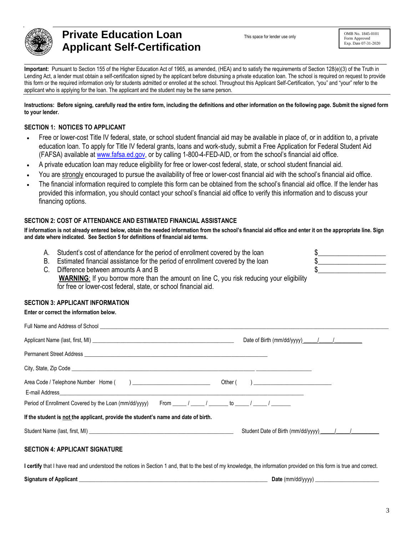

# **Private Education Loan Applicant Self-Certification**

This space for lender use only

OMB No. 1845-0101 Form Approved Exp. Date 07-31-2020

 $\frac{1}{2}$  $\frac{1}{2}$ 

**Important:** Pursuant to Section 155 of the Higher Education Act of 1965, as amended, (HEA) and to satisfy the requirements of Section 128(e)(3) of the Truth in Lending Act, a lender must obtain a self-certification signed by the applicant before disbursing a private education loan. The school is required on request to provide this form or the required information only for students admitted or enrolled at the school. Throughout this Applicant Self-Certification, "you" and "your" refer to the applicant who is applying for the loan. The applicant and the student may be the same person.

**Instructions: Before signing, carefully read the entire form, including the definitions and other information on the following page. Submit the signed form to your lender.** 

### **SECTION 1: NOTICES TO APPLICANT**

- Free or lower-cost Title IV federal, state, or school student financial aid may be available in place of, or in addition to, a private education loan. To apply for Title IV federal grants, loans and work-study, submit a Free Application for Federal Student Aid (FAFSA) available at [www.fafsa.ed.gov,](www.fafsa.ed.gov) or by calling 1-800-4-FED-AID, or from the school's financial aid office.
- A private education loan may reduce eligibility for free or lower-cost federal, state, or school student financial aid.
- You are strongly encouraged to pursue the availability of free or lower-cost financial aid with the school's financial aid office.
- The financial information required to complete this form can be obtained from the school's financial aid office. If the lender has provided this information, you should contact your school's financial aid office to verify this information and to discuss your financing options.

### **SECTION 2: COST OF ATTENDANCE AND ESTIMATED FINANCIAL ASSISTANCE**

**If information is not already entered below, obtain the needed information from the school's financial aid office and enter it on the appropriate line. Sign and date where indicated. See Section 5 for definitions of financial aid terms.** 

- A. Student's cost of attendance for the period of enrollment covered by the loan
- B. Estimated financial assistance for the period of enrollment covered by the loan
- C. Difference between amounts A and B **WARNING**: If you borrow more than the amount on line C, you risk reducing your eligibility for free or lower-cost federal, state, or school financial aid.

### **SECTION 3: APPLICANT INFORMATION**

|                                                                                                                                                                             |  | Date of Birth (mm/dd/yyyy) 11        |  |  |  |  |  |  |
|-----------------------------------------------------------------------------------------------------------------------------------------------------------------------------|--|--------------------------------------|--|--|--|--|--|--|
|                                                                                                                                                                             |  |                                      |  |  |  |  |  |  |
|                                                                                                                                                                             |  |                                      |  |  |  |  |  |  |
|                                                                                                                                                                             |  |                                      |  |  |  |  |  |  |
| Period of Enrollment Covered by the Loan (mm/dd/yyyy) From _____/ _____/ ______ to _____/ ______/                                                                           |  |                                      |  |  |  |  |  |  |
| If the student is not the applicant, provide the student's name and date of birth.                                                                                          |  |                                      |  |  |  |  |  |  |
|                                                                                                                                                                             |  | Student Date of Birth (mm/dd/yyyy) 1 |  |  |  |  |  |  |
| <b>SECTION 4: APPLICANT SIGNATURE</b>                                                                                                                                       |  |                                      |  |  |  |  |  |  |
| <b>I certify</b> that I have read and understood the notices in Section 1 and, that to the best of my knowledge, the information provided on this form is true and correct. |  |                                      |  |  |  |  |  |  |

**Signature of Applicant**